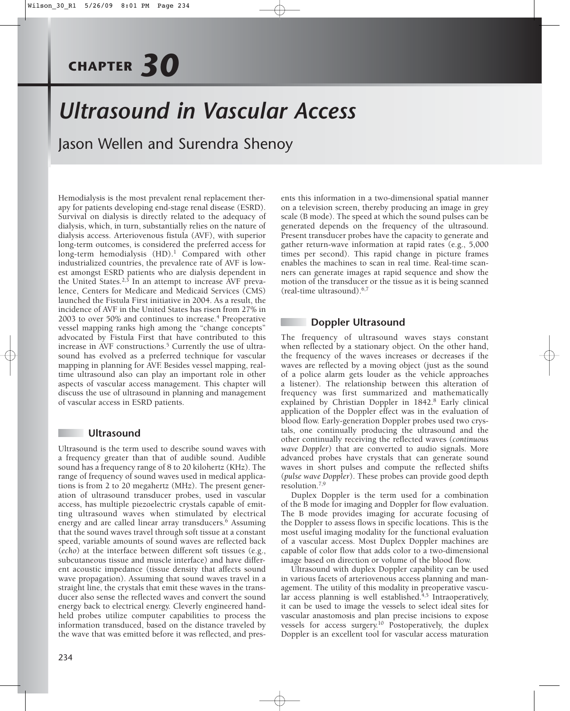# **CHAPTER** *30*

# *Ultrasound in Vascular Access*

Jason Wellen and Surendra Shenoy

Hemodialysis is the most prevalent renal replacement therapy for patients developing end-stage renal disease (ESRD). Survival on dialysis is directly related to the adequacy of dialysis, which, in turn, substantially relies on the nature of dialysis access. Arteriovenous fistula (AVF), with superior long-term outcomes, is considered the preferred access for long-term hemodialysis (HD).<sup>1</sup> Compared with other industrialized countries, the prevalence rate of AVF is lowest amongst ESRD patients who are dialysis dependent in the United States.<sup>2,3</sup> In an attempt to increase AVF prevalence, Centers for Medicare and Medicaid Services (CMS) launched the Fistula First initiative in 2004. As a result, the incidence of AVF in the United States has risen from 27% in 2003 to over 50% and continues to increase.4 Preoperative vessel mapping ranks high among the "change concepts" advocated by Fistula First that have contributed to this increase in AVF constructions.<sup>5</sup> Currently the use of ultrasound has evolved as a preferred technique for vascular mapping in planning for AVF. Besides vessel mapping, realtime ultrasound also can play an important role in other aspects of vascular access management. This chapter will discuss the use of ultrasound in planning and management of vascular access in ESRD patients.

### **Ultrasound**

Ultrasound is the term used to describe sound waves with a frequency greater than that of audible sound. Audible sound has a frequency range of 8 to 20 kilohertz (KHz). The range of frequency of sound waves used in medical applications is from 2 to 20 megahertz (MHz). The present generation of ultrasound transducer probes, used in vascular access, has multiple piezoelectric crystals capable of emitting ultrasound waves when stimulated by electrical energy and are called linear array transducers.<sup>6</sup> Assuming that the sound waves travel through soft tissue at a constant speed, variable amounts of sound waves are reflected back (*echo*) at the interface between different soft tissues (e.g., subcutaneous tissue and muscle interface) and have different acoustic impedance (tissue density that affects sound wave propagation). Assuming that sound waves travel in a straight line, the crystals that emit these waves in the transducer also sense the reflected waves and convert the sound energy back to electrical energy. Cleverly engineered handheld probes utilize computer capabilities to process the information transduced, based on the distance traveled by the wave that was emitted before it was reflected, and presents this information in a two-dimensional spatial manner on a television screen, thereby producing an image in grey scale (B mode). The speed at which the sound pulses can be generated depends on the frequency of the ultrasound. Present transducer probes have the capacity to generate and gather return-wave information at rapid rates (e.g., 5,000 times per second). This rapid change in picture frames enables the machines to scan in real time. Real-time scanners can generate images at rapid sequence and show the motion of the transducer or the tissue as it is being scanned (real-time ultrasound).6,7

## **Doppler Ultrasound**

The frequency of ultrasound waves stays constant when reflected by a stationary object. On the other hand, the frequency of the waves increases or decreases if the waves are reflected by a moving object (just as the sound of a police alarm gets louder as the vehicle approaches a listener). The relationship between this alteration of frequency was first summarized and mathematically explained by Christian Doppler in 1842.<sup>8</sup> Early clinical application of the Doppler effect was in the evaluation of blood flow. Early-generation Doppler probes used two crystals, one continually producing the ultrasound and the other continually receiving the reflected waves (*continuous wave Doppler*) that are converted to audio signals. More advanced probes have crystals that can generate sound waves in short pulses and compute the reflected shifts (*pulse wave Doppler*). These probes can provide good depth resolution.7,9

Duplex Doppler is the term used for a combination of the B mode for imaging and Doppler for flow evaluation. The B mode provides imaging for accurate focusing of the Doppler to assess flows in specific locations. This is the most useful imaging modality for the functional evaluation of a vascular access. Most Duplex Doppler machines are capable of color flow that adds color to a two-dimensional image based on direction or volume of the blood flow.

Ultrasound with duplex Doppler capability can be used in various facets of arteriovenous access planning and management. The utility of this modality in preoperative vascular access planning is well established. $4,5$  Intraoperatively, it can be used to image the vessels to select ideal sites for vascular anastomosis and plan precise incisions to expose vessels for access surgery.10 Postoperatively, the duplex Doppler is an excellent tool for vascular access maturation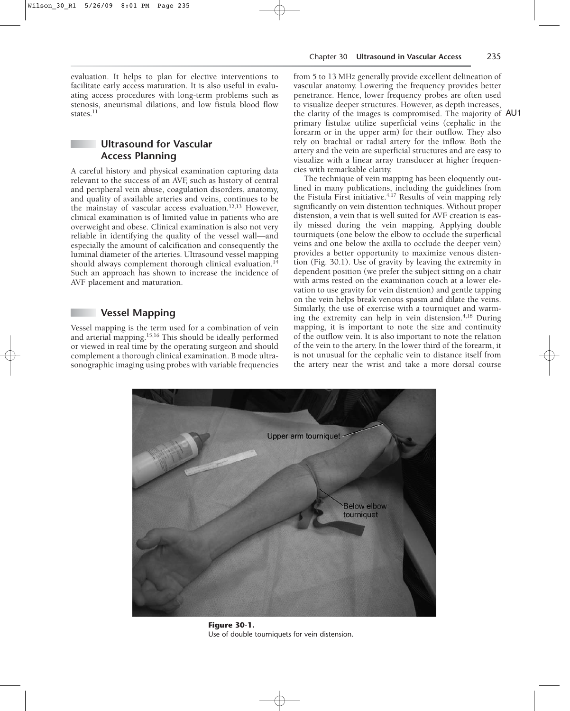evaluation. It helps to plan for elective interventions to facilitate early access maturation. It is also useful in evaluating access procedures with long-term problems such as stenosis, aneurismal dilations, and low fistula blood flow states.<sup>11</sup>

# **Ultrasound for Vascular Access Planning**

A careful history and physical examination capturing data relevant to the success of an AVF, such as history of central and peripheral vein abuse, coagulation disorders, anatomy, and quality of available arteries and veins, continues to be the mainstay of vascular access evaluation.<sup>12,13</sup> However, clinical examination is of limited value in patients who are overweight and obese. Clinical examination is also not very reliable in identifying the quality of the vessel wall—and especially the amount of calcification and consequently the luminal diameter of the arteries. Ultrasound vessel mapping should always complement thorough clinical evaluation.<sup>14</sup> Such an approach has shown to increase the incidence of AVF placement and maturation.

# **Vessel Mapping**

Vessel mapping is the term used for a combination of vein and arterial mapping.15,16 This should be ideally performed or viewed in real time by the operating surgeon and should complement a thorough clinical examination. B mode ultrasonographic imaging using probes with variable frequencies

from 5 to 13 MHz generally provide excellent delineation of vascular anatomy. Lowering the frequency provides better penetrance. Hence, lower frequency probes are often used to visualize deeper structures. However, as depth increases, the clarity of the images is compromised. The majority of AU1 primary fistulae utilize superficial veins (cephalic in the forearm or in the upper arm) for their outflow. They also rely on brachial or radial artery for the inflow. Both the artery and the vein are superficial structures and are easy to visualize with a linear array transducer at higher frequencies with remarkable clarity.

The technique of vein mapping has been eloquently outlined in many publications, including the guidelines from the Fistula First initiative.4,17 Results of vein mapping rely significantly on vein distention techniques. Without proper distension, a vein that is well suited for AVF creation is easily missed during the vein mapping. Applying double tourniquets (one below the elbow to occlude the superficial veins and one below the axilla to occlude the deeper vein) provides a better opportunity to maximize venous distention (Fig. 30.1). Use of gravity by leaving the extremity in dependent position (we prefer the subject sitting on a chair with arms rested on the examination couch at a lower elevation to use gravity for vein distention) and gentle tapping on the vein helps break venous spasm and dilate the veins. Similarly, the use of exercise with a tourniquet and warming the extremity can help in vein distension.<sup>4,18</sup> During mapping, it is important to note the size and continuity of the outflow vein. It is also important to note the relation of the vein to the artery. In the lower third of the forearm, it is not unusual for the cephalic vein to distance itself from the artery near the wrist and take a more dorsal course



**Figure 30-1.** Use of double tourniquets for vein distension.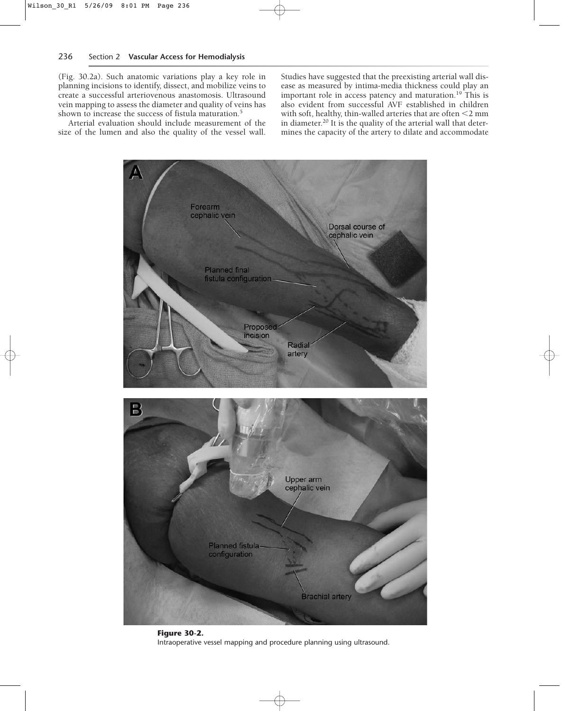(Fig. 30.2a). Such anatomic variations play a key role in planning incisions to identify, dissect, and mobilize veins to create a successful arteriovenous anastomosis. Ultrasound vein mapping to assess the diameter and quality of veins has shown to increase the success of fistula maturation.5

Arterial evaluation should include measurement of the size of the lumen and also the quality of the vessel wall.

Studies have suggested that the preexisting arterial wall disease as measured by intima-media thickness could play an important role in access patency and maturation.<sup>19</sup> This is also evident from successful AVF established in children with soft, healthy, thin-walled arteries that are often  $<$ 2 mm in diameter.20 It is the quality of the arterial wall that determines the capacity of the artery to dilate and accommodate





**Figure 30-2.** Intraoperative vessel mapping and procedure planning using ultrasound.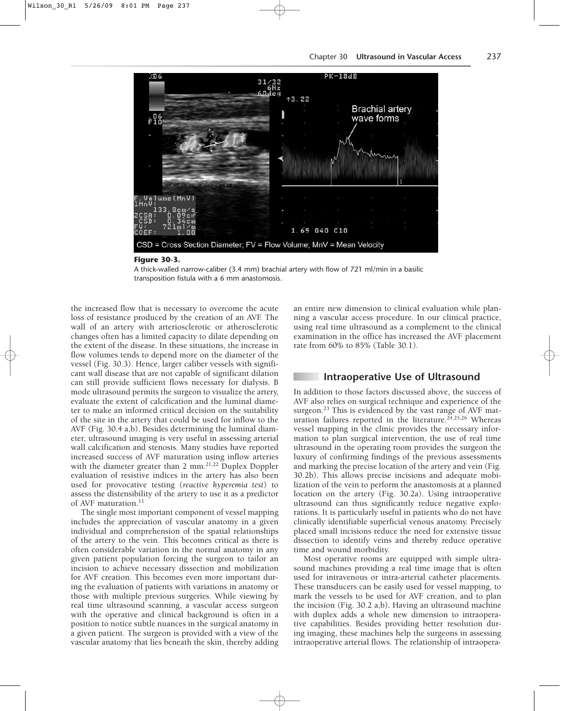Chapter 30 **Ultrasound in Vascular Access** 237



#### **Figure 30-3.**



the increased flow that is necessary to overcome the acute loss of resistance produced by the creation of an AVF. The wall of an artery with arteriosclerotic or atherosclerotic changes often has a limited capacity to dilate depending on the extent of the disease. In these situations, the increase in flow volumes tends to depend more on the diameter of the vessel (Fig. 30.3). Hence, larger caliber vessels with significant wall disease that are not capable of significant dilation can still provide sufficient flows necessary for dialysis. B mode ultrasound permits the surgeon to visualize the artery, evaluate the extent of calcification and the luminal diameter to make an informed critical decision on the suitability of the site in the artery that could be used for inflow to the AVF (Fig. 30.4 a,b). Besides determining the luminal diameter, ultrasound imaging is very useful in assessing arterial wall calcification and stenosis. Many studies have reported increased success of AVF maturation using inflow arteries with the diameter greater than 2 mm.<sup>21,22</sup> Duplex Doppler evaluation of resistive indices in the artery has also been used for provocative testing (*reactive hyperemia test*) to assess the distensibility of the artery to use it as a predictor of AVF maturation.<sup>11</sup>

The single most important component of vessel mapping includes the appreciation of vascular anatomy in a given individual and comprehension of the spatial relationships of the artery to the vein. This becomes critical as there is often considerable variation in the normal anatomy in any given patient population forcing the surgeon to tailor an incision to achieve necessary dissection and mobilization for AVF creation. This becomes even more important during the evaluation of patients with variations in anatomy or those with multiple previous surgeries. While viewing by real time ultrasound scanning, a vascular access surgeon with the operative and clinical background is often in a position to notice subtle nuances in the surgical anatomy in a given patient. The surgeon is provided with a view of the vascular anatomy that lies beneath the skin, thereby adding

an entire new dimension to clinical evaluation while planning a vascular access procedure. In our clinical practice, using real time ultrasound as a complement to the clinical examination in the office has increased the AVF placement rate from 60% to 85% (Table 30.1).

#### **Intraoperative Use of Ultrasound**

In addition to those factors discussed above, the success of AVF also relies on surgical technique and experience of the surgeon.<sup>23</sup> This is evidenced by the vast range of AVF maturation failures reported in the literature.<sup>24,25,26</sup> Whereas vessel mapping in the clinic provides the necessary information to plan surgical intervention, the use of real time ultrasound in the operating room provides the surgeon the luxury of confirming findings of the previous assessments and marking the precise location of the artery and vein (Fig. 30.2b). This allows precise incisions and adequate mobilization of the vein to perform the anastomosis at a planned location on the artery (Fig. 30.2a). Using intraoperative ultrasound can thus significantly reduce negative explorations. It is particularly useful in patients who do not have clinically identifiable superficial venous anatomy. Precisely placed small incisions reduce the need for extensive tissue dissection to identify veins and thereby reduce operative time and wound morbidity.

Most operative rooms are equipped with simple ultrasound machines providing a real time image that is often used for intravenous or intra-arterial catheter placements. These transducers can be easily used for vessel mapping, to mark the vessels to be used for AVF creation, and to plan the incision (Fig. 30.2 a,b). Having an ultrasound machine with duplex adds a whole new dimension to intraoperative capabilities. Besides providing better resolution during imaging, these machines help the surgeons in assessing intraoperative arterial flows. The relationship of intraopera-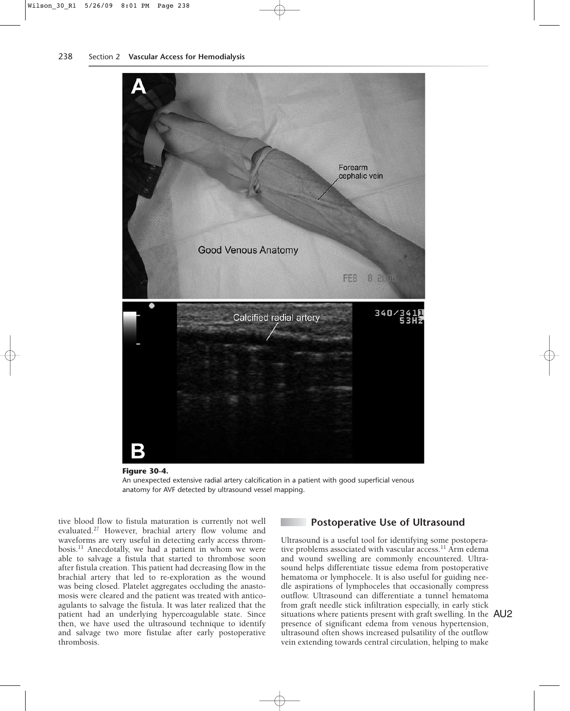

#### **Figure 30-4.**

An unexpected extensive radial artery calcification in a patient with good superficial venous anatomy for AVF detected by ultrasound vessel mapping.

tive blood flow to fistula maturation is currently not well evaluated.27 However, brachial artery flow volume and waveforms are very useful in detecting early access thrombosis.11 Anecdotally, we had a patient in whom we were able to salvage a fistula that started to thrombose soon after fistula creation. This patient had decreasing flow in the brachial artery that led to re-exploration as the wound was being closed. Platelet aggregates occluding the anastomosis were cleared and the patient was treated with anticoagulants to salvage the fistula. It was later realized that the patient had an underlying hypercoagulable state. Since then, we have used the ultrasound technique to identify and salvage two more fistulae after early postoperative thrombosis.

### **Postoperative Use of Ultrasound**

Ultrasound is a useful tool for identifying some postoperative problems associated with vascular access.<sup>11</sup> Arm edema and wound swelling are commonly encountered. Ultrasound helps differentiate tissue edema from postoperative hematoma or lymphocele. It is also useful for guiding needle aspirations of lymphoceles that occasionally compress outflow. Ultrasound can differentiate a tunnel hematoma from graft needle stick infiltration especially, in early stick situations where patients present with graft swelling. In the AU2 presence of significant edema from venous hypertension, ultrasound often shows increased pulsatility of the outflow vein extending towards central circulation, helping to make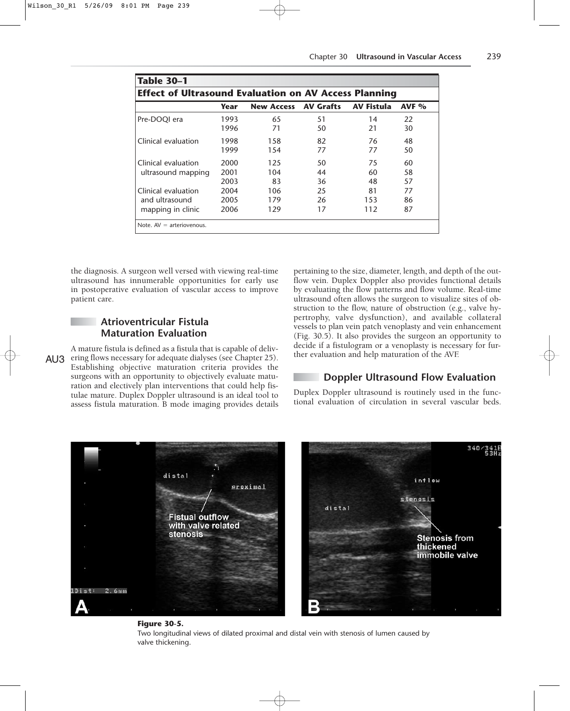| Table 30-1                                                   |                      |                   |                  |                   |                |
|--------------------------------------------------------------|----------------------|-------------------|------------------|-------------------|----------------|
| <b>Effect of Ultrasound Evaluation on AV Access Planning</b> |                      |                   |                  |                   |                |
|                                                              | Year                 | <b>New Access</b> | <b>AV Grafts</b> | <b>AV Fistula</b> | AVF $%$        |
| Pre-DOQI era                                                 | 1993<br>1996         | 65<br>71          | 51<br>50         | 14<br>21          | 22<br>30       |
| Clinical evaluation                                          | 1998<br>1999         | 158<br>1.54       | 82<br>77         | 76<br>77          | 48<br>50       |
| Clinical evaluation<br>ultrasound mapping                    | 2000<br>2001<br>2003 | 125<br>104<br>83  | 50<br>44<br>36   | 75<br>60<br>48    | 60<br>58<br>57 |
| Clinical evaluation<br>and ultrasound<br>mapping in clinic   | 2004<br>2005<br>2006 | 106<br>179<br>129 | 25<br>26<br>17   | 81<br>153<br>112  | 77<br>86<br>87 |
| Note, $AV =$ arteriovenous.                                  |                      |                   |                  |                   |                |

the diagnosis. A surgeon well versed with viewing real-time ultrasound has innumerable opportunities for early use in postoperative evaluation of vascular access to improve patient care.

# **Atrioventricular Fistula Maturation Evaluation**

A mature fistula is defined as a fistula that is capable of deliv-AU3 ering flows necessary for adequate dialyses (see Chapter 25). Establishing objective maturation criteria provides the surgeons with an opportunity to objectively evaluate maturation and electively plan interventions that could help fistulae mature. Duplex Doppler ultrasound is an ideal tool to assess fistula maturation. B mode imaging provides details

pertaining to the size, diameter, length, and depth of the outflow vein. Duplex Doppler also provides functional details by evaluating the flow patterns and flow volume. Real-time ultrasound often allows the surgeon to visualize sites of obstruction to the flow, nature of obstruction (e.g., valve hypertrophy, valve dysfunction), and available collateral vessels to plan vein patch venoplasty and vein enhancement (Fig. 30.5). It also provides the surgeon an opportunity to decide if a fistulogram or a venoplasty is necessary for further evaluation and help maturation of the AVF.

# **Doppler Ultrasound Flow Evaluation**

Duplex Doppler ultrasound is routinely used in the functional evaluation of circulation in several vascular beds.



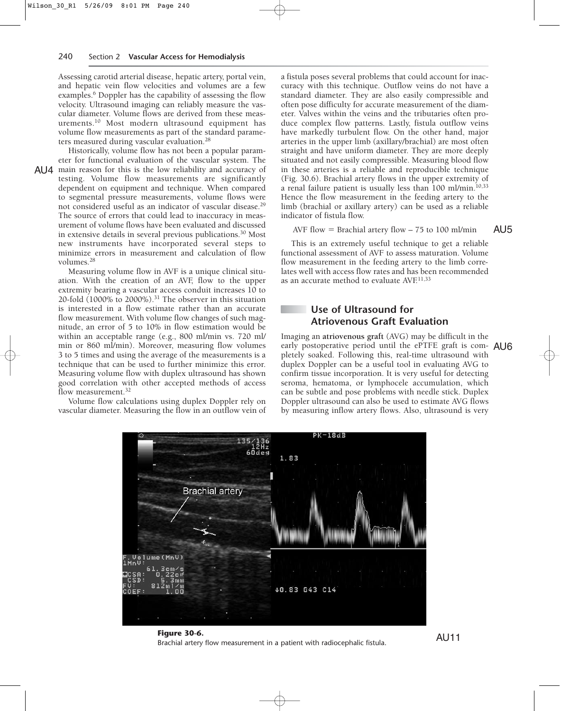Assessing carotid arterial disease, hepatic artery, portal vein, and hepatic vein flow velocities and volumes are a few examples.<sup>6</sup> Doppler has the capability of assessing the flow velocity. Ultrasound imaging can reliably measure the vascular diameter. Volume flows are derived from these measurements.10 Most modern ultrasound equipment has volume flow measurements as part of the standard parameters measured during vascular evaluation.<sup>28</sup>

Historically, volume flow has not been a popular parameter for functional evaluation of the vascular system. The AU4 main reason for this is the low reliability and accuracy of testing. Volume flow measurements are significantly dependent on equipment and technique. When compared to segmental pressure measurements, volume flows were not considered useful as an indicator of vascular disease.<sup>29</sup> The source of errors that could lead to inaccuracy in measurement of volume flows have been evaluated and discussed in extensive details in several previous publications.<sup>30</sup> Most new instruments have incorporated several steps to minimize errors in measurement and calculation of flow volumes.28

Measuring volume flow in AVF is a unique clinical situation. With the creation of an AVF, flow to the upper extremity bearing a vascular access conduit increases 10 to 20-fold  $(1000\%$  to 2000%).<sup>31</sup> The observer in this situation is interested in a flow estimate rather than an accurate flow measurement. With volume flow changes of such magnitude, an error of 5 to 10% in flow estimation would be within an acceptable range (e.g., 800 ml/min vs. 720 ml/ min or 860 ml/min). Moreover, measuring flow volumes 3 to 5 times and using the average of the measurements is a technique that can be used to further minimize this error. Measuring volume flow with duplex ultrasound has shown good correlation with other accepted methods of access flow measurement.<sup>32</sup>

Volume flow calculations using duplex Doppler rely on vascular diameter. Measuring the flow in an outflow vein of a fistula poses several problems that could account for inaccuracy with this technique. Outflow veins do not have a standard diameter. They are also easily compressible and often pose difficulty for accurate measurement of the diameter. Valves within the veins and the tributaries often produce complex flow patterns. Lastly, fistula outflow veins have markedly turbulent flow. On the other hand, major arteries in the upper limb (axillary/brachial) are most often straight and have uniform diameter. They are more deeply situated and not easily compressible. Measuring blood flow in these arteries is a reliable and reproducible technique (Fig. 30.6). Brachial artery flows in the upper extremity of a renal failure patient is usually less than  $100 \text{ ml/min}$ .<sup>10,33</sup> Hence the flow measurement in the feeding artery to the limb (brachial or axillary artery) can be used as a reliable indicator of fistula flow.

#### AVF flow  $=$  Brachial artery flow  $-75$  to 100 ml/min AU5

This is an extremely useful technique to get a reliable functional assessment of AVF to assess maturation. Volume flow measurement in the feeding artery to the limb correlates well with access flow rates and has been recommended as an accurate method to evaluate AVF.<sup>11,33</sup>

# **Use of Ultrasound for Atriovenous Graft Evaluation**

Imaging an **atriovenous graft** (AVG) may be difficult in the early postoperative period until the ePTFE graft is com-AU6 pletely soaked. Following this, real-time ultrasound with duplex Doppler can be a useful tool in evaluating AVG to confirm tissue incorporation. It is very useful for detecting seroma, hematoma, or lymphocele accumulation, which can be subtle and pose problems with needle stick. Duplex Doppler ultrasound can also be used to estimate AVG flows by measuring inflow artery flows. Also, ultrasound is very



**Figure 30-6.** Brachial artery flow measurement in a patient with radiocephalic fistula.

AU11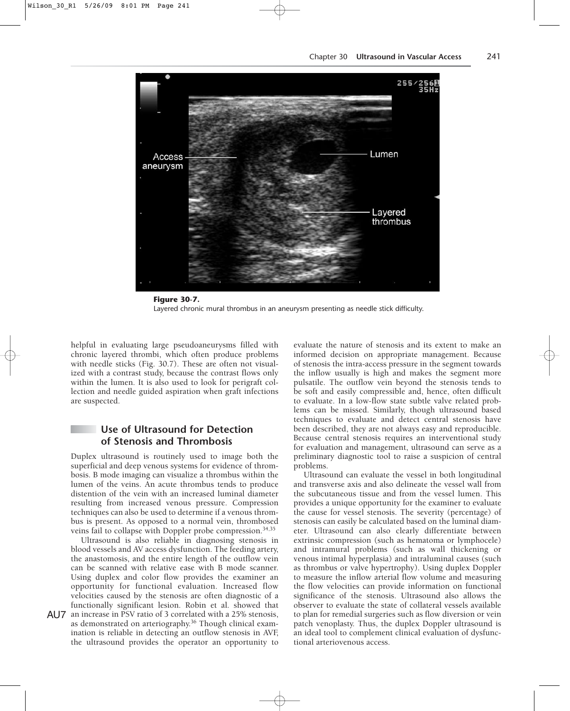Chapter 30 **Ultrasound in Vascular Access** 241



**Figure 30-7.** Layered chronic mural thrombus in an aneurysm presenting as needle stick difficulty.

helpful in evaluating large pseudoaneurysms filled with chronic layered thrombi, which often produce problems with needle sticks (Fig. 30.7). These are often not visualized with a contrast study, because the contrast flows only within the lumen. It is also used to look for perigraft collection and needle guided aspiration when graft infections are suspected.

# **Use of Ultrasound for Detection of Stenosis and Thrombosis**

Duplex ultrasound is routinely used to image both the superficial and deep venous systems for evidence of thrombosis. B mode imaging can visualize a thrombus within the lumen of the veins. An acute thrombus tends to produce distention of the vein with an increased luminal diameter resulting from increased venous pressure. Compression techniques can also be used to determine if a venous thrombus is present. As opposed to a normal vein, thrombosed veins fail to collapse with Doppler probe compression.34,35

Ultrasound is also reliable in diagnosing stenosis in blood vessels and AV access dysfunction. The feeding artery, the anastomosis, and the entire length of the outflow vein can be scanned with relative ease with B mode scanner. Using duplex and color flow provides the examiner an opportunity for functional evaluation. Increased flow velocities caused by the stenosis are often diagnostic of a functionally significant lesion. Robin et al. showed that

AU7 an increase in PSV ratio of 3 correlated with a 25% stenosis, as demonstrated on arteriography.36 Though clinical examination is reliable in detecting an outflow stenosis in AVF, the ultrasound provides the operator an opportunity to

evaluate the nature of stenosis and its extent to make an informed decision on appropriate management. Because of stenosis the intra-access pressure in the segment towards the inflow usually is high and makes the segment more pulsatile. The outflow vein beyond the stenosis tends to be soft and easily compressible and, hence, often difficult to evaluate. In a low-flow state subtle valve related problems can be missed. Similarly, though ultrasound based techniques to evaluate and detect central stenosis have been described, they are not always easy and reproducible. Because central stenosis requires an interventional study for evaluation and management, ultrasound can serve as a preliminary diagnostic tool to raise a suspicion of central problems.

Ultrasound can evaluate the vessel in both longitudinal and transverse axis and also delineate the vessel wall from the subcutaneous tissue and from the vessel lumen. This provides a unique opportunity for the examiner to evaluate the cause for vessel stenosis. The severity (percentage) of stenosis can easily be calculated based on the luminal diameter. Ultrasound can also clearly differentiate between extrinsic compression (such as hematoma or lymphocele) and intramural problems (such as wall thickening or venous intimal hyperplasia) and intraluminal causes (such as thrombus or valve hypertrophy). Using duplex Doppler to measure the inflow arterial flow volume and measuring the flow velocities can provide information on functional significance of the stenosis. Ultrasound also allows the observer to evaluate the state of collateral vessels available to plan for remedial surgeries such as flow diversion or vein patch venoplasty. Thus, the duplex Doppler ultrasound is an ideal tool to complement clinical evaluation of dysfunctional arteriovenous access.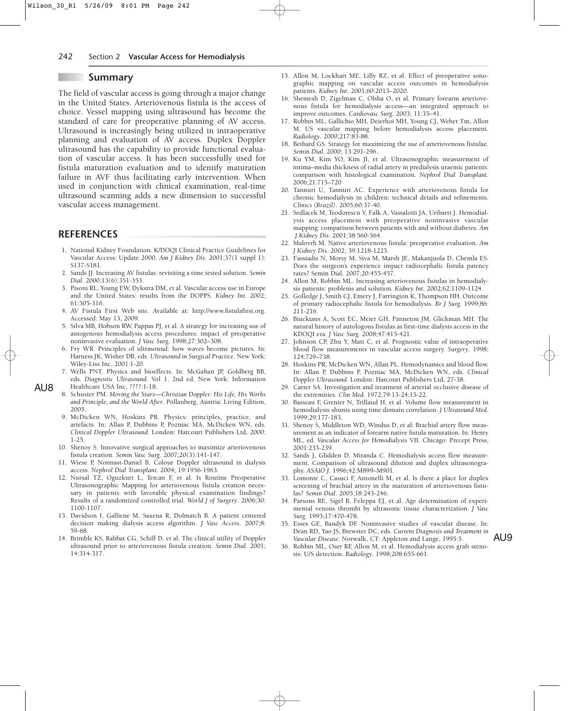#### **Summary**

The field of vascular access is going through a major change in the United States. Arteriovenous fistula is the access of choice. Vessel mapping using ultrasound has become the standard of care for preoperative planning of AV access. Ultrasound is increasingly being utilized in intraoperative planning and evaluation of AV access. Duplex Doppler ultrasound has the capability to provide functional evaluation of vascular access. It has been successfully used for fistula maturation evaluation and to identify maturation failure in AVF thus facilitating early intervention. When used in conjunction with clinical examination, real-time ultrasound scanning adds a new dimension to successful vascular access management.

#### **REFERENCES**

- 1. National Kidney Foundation. K/DOQI Clinical Practice Guidelines for Vascular Access: Update 2000. *Am J Kidney Dis*. 2001;37(1 suppl 1): S137-S181.
- 2. Sands JJ. Increasing AV fistulas: revisiting a time tested solution. *Semin Dial*. 2000;13(6):351-353.
- 3. Pisoni RL, Young EW, Dykstra DM, et al. Vascular access use in Europe and the United States: results from the DOPPS. *Kidney Int*. 2002; 61:305-316.
- 4. AV Fistula First Web site. Available at: http://www.fistulafirst.org. Accessed: May 13, 2009.
- 5. Silva MB, Hobson RW, Pappas PJ, et al. A strategy for increasing use of autogenous hemodialysis access procedures: impact of preoperative noninvasive evaluation. *J Vasc Surg*. 1998;27:302–308.
- 6. Fry WR. Principles of ultrasound: how waves become pictures. In: Harness JK, Wisher DB, eds. *Ultrasound in Surgical Practice*. New York: Wiley-Liss Inc, 2001:1-20.
- 7. Wells PNT. Physics and bioeffects. In: McGahan JP, Goldberg BB, eds. *Diagnostic Ultrasound*. Vol 1. 2nd ed. New York: Information Healthcare USA Inc, ????:1-18.
- 8. Schuster PM. *Moving the Stars—Christian Doppler: His Life, His Works and Principle, and the World After*. Pöllauberg, Austria: Living Edition, 2005.
- 9. McDicken WN, Hoskins PR. Physics: principles, practice, and artefacts. In: Allan P, Dubbins P, Pozniac MA, McDicken WN, eds. *Clinical Doppler Ultrasound*. London: Harcourt Publishers Ltd, 2000: 1-25.
- 10. Shenoy S. Innovative surgical approaches to maximize arteriovenous fistula creation. *Semin Vasc Surg*. 2007;20(3):141-147.
- 11. Wiese P, Nonnast-Daniel B. Colour Doppler ultrasound in dialysis access. *Nephrol Dial Transplant*. 2004; 19:1956-1963.
- 12. Nursal TZ, Oguzkurt L, Tercan F, et al. Is Routine Preoperative Ultrasonographic Mapping for arteriovenous fistula creation necessary in patients with favorable physical examination findings? Results of a randomized controlled trial. *World J of Surgery*. 2006;30: 1100-1107.
- 13. Davidson I, Galliene M, Saxena R, Dolmatch B. A patient centered decision making dialysis access algorithm. *J Vasc Access*. 2007;8: 59-68.
- 14. Brimble KS, Rabbat CG, Schiff D, et al. The clinical utility of Doppler ultrasound prior to arteriovenous fistula creation. *Semin Dial*. 2001; 14:314-317.
- 15. Allon M, Lockhart ME, Lilly RZ, et al. Effect of preoperative sonographic mapping on vascular access outcomes in hemodialysis patients. *Kidney Int*. 2001;60:2013–2020.
- 16. Shemesh D, Zigelman C, Olsha O, et al. Primary forearm arteriovenous fistula for hemodialysis access—an integrated approach to improve outcomes. *Cardiovasc Surg*. 2003; 11:35–41.
- 17. Robbin ML, Gallichio MH, Deierhoi MH, Young CJ, Weber Tm, Allon M. US vascular mapping before hemodialysis access placement. *Radiology*. 2000;217:83-88.
- 18. Bethard GS. Strategy for maximizing the use of arteriovenous fistulae. *Semin Dial*. 2000; 13:291-296.
- 19. Ku YM, Kim YO, Kim JI, et al. Ultrasonographic measurement of intima–media thickness of radial artery in predialysis uraemic patients: comparison with histological examination. *Nephrol Dial Transplant*. 2006;21:715–720
- 20. Tannuri U, Tannuri AC. Experience with arteriovenous fistula for chronic hemodialysis in children: technical details and refinements. *Clinics (Brazil)*. 2005;60:37-40.
- 21. Sedlacek M, Teodorescu V, Falk A, Vassalotti JA, Uribarri J. Hemodialysis access placement with preoperative noninvasive vascular mapping: comparison between patients with and without diabetes. *Am J Kidney Dis*. 2001;38:560-564.
- 22. Malovrh M. Native arteriovenous fistula: preoperative evaluation. *Am J Kidney Dis*. 2002; 39:1218-1225.
- 23. Fassiadis N, Morsy M, Siva M, Marsh JE, Makanjuola D, Chemla ES. Does the surgeon's experience impact radiocephalic fistula patency rates? Semin Dial. 2007;20:455-457.
- 24. Allon M, Robbin ML. Increasing arteriovenous fistulas in hemodialysis patients: problems and solution. *Kidney Int*. 2002;62:1109-1124.
- 25. Golledge J, Smith CJ, Emery J, Farrington K, Thompson HH. Outcome of primary radiocephalic fistula for hemodialysis. *Br J Surg*. 1999;86: 211-216.
- 26. Biuckians A, Scott EC, Meier GH, Panneton JM, Glickman MH. The natural history of autologous fistulas as first-time dialysis access in the KDOQI era. *J Vasc Surg*. 2008;47:415-421.
- 27. Johnson CP, Zhu Y, Matt C, et al. Prognostic value of intraoperative blood flow measurements in vascular access surgery. *Surgery*. 1998; 124:729–738.
- 28. Hoskins PR, McDicken WN, Allan PL. Hemodynamics and blood flow. In: Allan P, Dubbins P, Pozniac MA, McDicken WN, eds. *Clinical Doppler Ultrasound*. London: Harcourt Publishers Ltd, 27-38.
- 29. Carter SA. Investigation and treatment of arterial occlusive disease of the extremities. *Clin Med*. 1972;79:13-24;15-22.
- 30. Basseau F, Grenier N, Trillaud H, et al. Volume flow measurement in hemodialysis shunts using time domain correlation. *J Ultrasound Med*. 1999;29:177-183.
- 31. Shenoy S, Middleton WD, Windus D, et al: Brachial artery flow measurement as an indicator of forearm native fistula maturation. In: Henry ML, ed. *Vascular Access for Hemodialysis* VII. Chicago: Precept Press, 2001:233-239.
- 32. Sands J, Glidden D, Miranda C. Hemodialysis access flow measurement. Comparison of ultrasound dilution and duplex ultrasonography. *ASAIO J*. 1996;42:M899–M901.
- Lomonte C, Casuci F, Antonelli M, et al. Is there a place for duplex screening of brachial artery in the maturation of arteriovenous fistulas? *Semin Dial*. 2005;18:243-246.
- 34. Parsons RE, Sigel B, Feleppa EJ, et al. Age determination of experimental venous thrombi by ultrasonic tissue characterization. *J Vasc Surg*. 1993;17:470-478.
- 35. Esses GE, Bandyk DF. Noninvasive studies of vascular disease. In: Dean RD, Yao JS, Brewster DC, eds. *Current Diagnosis and Treatment in Vascular Disease*. Norwalk, CT: Appleton and Lange, 1995:5.

AU9

36. Robbin ML, Oser RF, Allon M, et al. Hemodialysis access graft stenosis: U/S detection. *Radiology*. 1998;208:655-661.

AU8